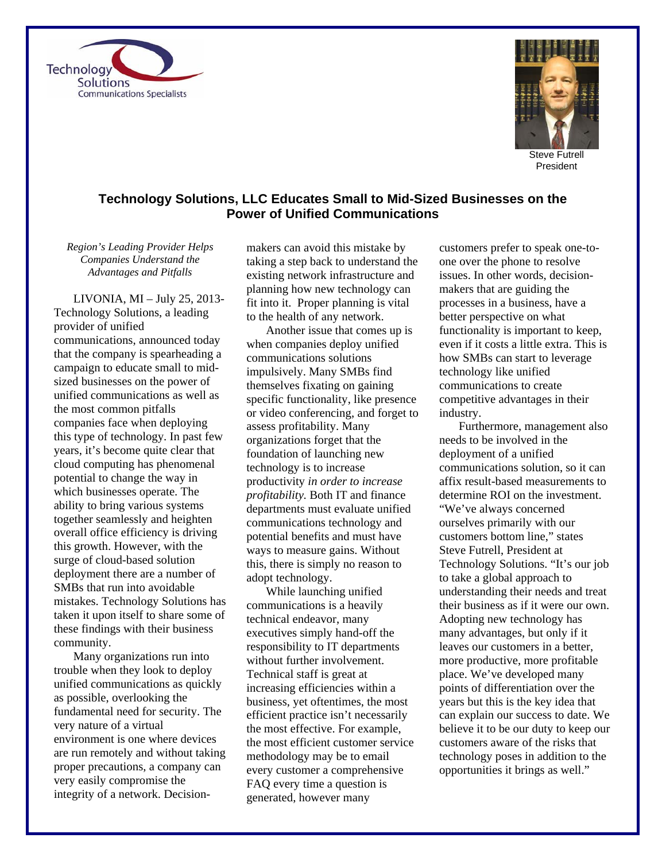



President

## **Technology Solutions, LLC Educates Small to Mid-Sized Businesses on the Power of Unified Communications**

*Region's Leading Provider Helps Companies Understand the Advantages and Pitfalls* 

LIVONIA, MI – July 25, 2013- Technology Solutions, a leading provider of unified communications, announced today that the company is spearheading a campaign to educate small to midsized businesses on the power of unified communications as well as the most common pitfalls companies face when deploying this type of technology. In past few years, it's become quite clear that cloud computing has phenomenal potential to change the way in which businesses operate. The ability to bring various systems together seamlessly and heighten overall office efficiency is driving this growth. However, with the surge of cloud-based solution deployment there are a number of SMBs that run into avoidable mistakes. Technology Solutions has taken it upon itself to share some of these findings with their business community.

Many organizations run into trouble when they look to deploy unified communications as quickly as possible, overlooking the fundamental need for security. The very nature of a virtual environment is one where devices are run remotely and without taking proper precautions, a company can very easily compromise the integrity of a network. Decisionmakers can avoid this mistake by taking a step back to understand the existing network infrastructure and planning how new technology can fit into it. Proper planning is vital to the health of any network.

Another issue that comes up is when companies deploy unified communications solutions impulsively. Many SMBs find themselves fixating on gaining specific functionality, like presence or video conferencing, and forget to assess profitability. Many organizations forget that the foundation of launching new technology is to increase productivity *in order to increase profitability.* Both IT and finance departments must evaluate unified communications technology and potential benefits and must have ways to measure gains. Without this, there is simply no reason to adopt technology.

While launching unified communications is a heavily technical endeavor, many executives simply hand-off the responsibility to IT departments without further involvement. Technical staff is great at increasing efficiencies within a business, yet oftentimes, the most efficient practice isn't necessarily the most effective. For example, the most efficient customer service methodology may be to email every customer a comprehensive FAQ every time a question is generated, however many

customers prefer to speak one-toone over the phone to resolve issues. In other words, decisionmakers that are guiding the processes in a business, have a better perspective on what functionality is important to keep, even if it costs a little extra. This is how SMBs can start to leverage technology like unified communications to create competitive advantages in their industry.

Furthermore, management also needs to be involved in the deployment of a unified communications solution, so it can affix result-based measurements to determine ROI on the investment. "We've always concerned ourselves primarily with our customers bottom line," states Steve Futrell, President at Technology Solutions. "It's our job to take a global approach to understanding their needs and treat their business as if it were our own. Adopting new technology has many advantages, but only if it leaves our customers in a better, more productive, more profitable place. We've developed many points of differentiation over the years but this is the key idea that can explain our success to date. We believe it to be our duty to keep our customers aware of the risks that technology poses in addition to the opportunities it brings as well."